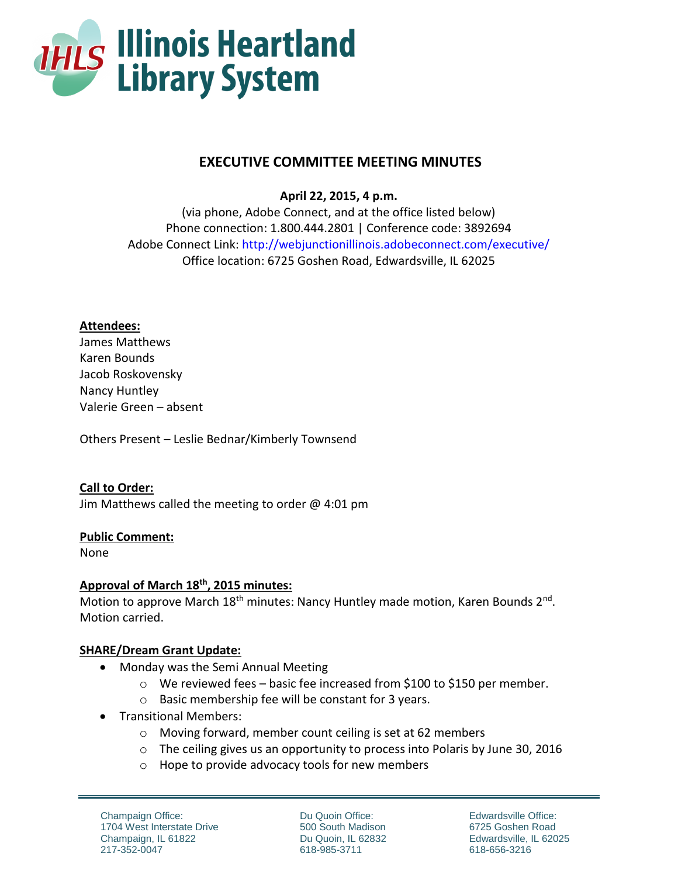

# **EXECUTIVE COMMITTEE MEETING MINUTES**

**April 22, 2015, 4 p.m.**

(via phone, Adobe Connect, and at the office listed below) Phone connection: 1.800.444.2801 | Conference code: 3892694 Adobe Connect Link: http://webjunctionillinois.adobeconnect.com/executive/ Office location: 6725 Goshen Road, Edwardsville, IL 62025

### **Attendees:**

James Matthews Karen Bounds Jacob Roskovensky Nancy Huntley Valerie Green – absent

Others Present – Leslie Bednar/Kimberly Townsend

# **Call to Order:**

Jim Matthews called the meeting to order @ 4:01 pm

#### **Public Comment:**

None

#### **Approval of March 18th, 2015 minutes:**

Motion to approve March 18<sup>th</sup> minutes: Nancy Huntley made motion, Karen Bounds 2<sup>nd</sup>. Motion carried.

#### **SHARE/Dream Grant Update:**

- Monday was the Semi Annual Meeting
	- o We reviewed fees basic fee increased from \$100 to \$150 per member.
	- o Basic membership fee will be constant for 3 years.
- Transitional Members:
	- o Moving forward, member count ceiling is set at 62 members
	- o The ceiling gives us an opportunity to process into Polaris by June 30, 2016
	- o Hope to provide advocacy tools for new members

Champaign Office: 1704 West Interstate Drive Champaign, IL 61822 217-352-0047

Du Quoin Office: 500 South Madison Du Quoin, IL 62832 618-985-3711

Edwardsville Office: 6725 Goshen Road Edwardsville, IL 62025 618-656-3216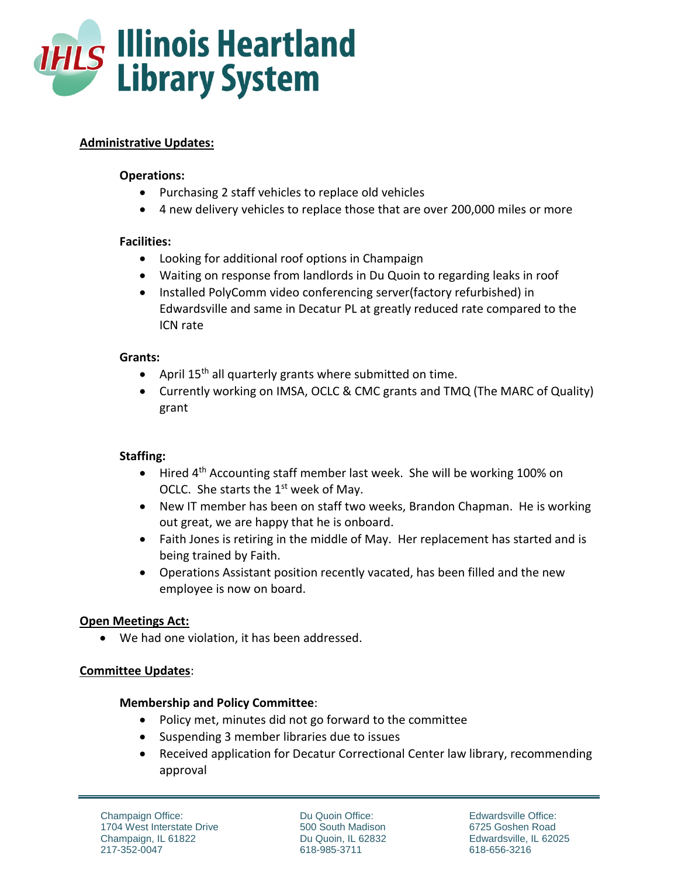

# **Administrative Updates:**

#### **Operations:**

- Purchasing 2 staff vehicles to replace old vehicles
- 4 new delivery vehicles to replace those that are over 200,000 miles or more

### **Facilities:**

- Looking for additional roof options in Champaign
- Waiting on response from landlords in Du Quoin to regarding leaks in roof
- Installed PolyComm video conferencing server(factory refurbished) in Edwardsville and same in Decatur PL at greatly reduced rate compared to the ICN rate

#### **Grants:**

- April 15<sup>th</sup> all quarterly grants where submitted on time.
- Currently working on IMSA, OCLC & CMC grants and TMQ (The MARC of Quality) grant

# **Staffing:**

- Hired 4<sup>th</sup> Accounting staff member last week. She will be working 100% on OCLC. She starts the 1<sup>st</sup> week of May.
- New IT member has been on staff two weeks, Brandon Chapman. He is working out great, we are happy that he is onboard.
- Faith Jones is retiring in the middle of May. Her replacement has started and is being trained by Faith.
- Operations Assistant position recently vacated, has been filled and the new employee is now on board.

# **Open Meetings Act:**

We had one violation, it has been addressed.

#### **Committee Updates**:

#### **Membership and Policy Committee**:

- Policy met, minutes did not go forward to the committee
- Suspending 3 member libraries due to issues
- Received application for Decatur Correctional Center law library, recommending approval

Champaign Office: 1704 West Interstate Drive Champaign, IL 61822 217-352-0047

Du Quoin Office: 500 South Madison Du Quoin, IL 62832 618-985-3711

Edwardsville Office: 6725 Goshen Road Edwardsville, IL 62025 618-656-3216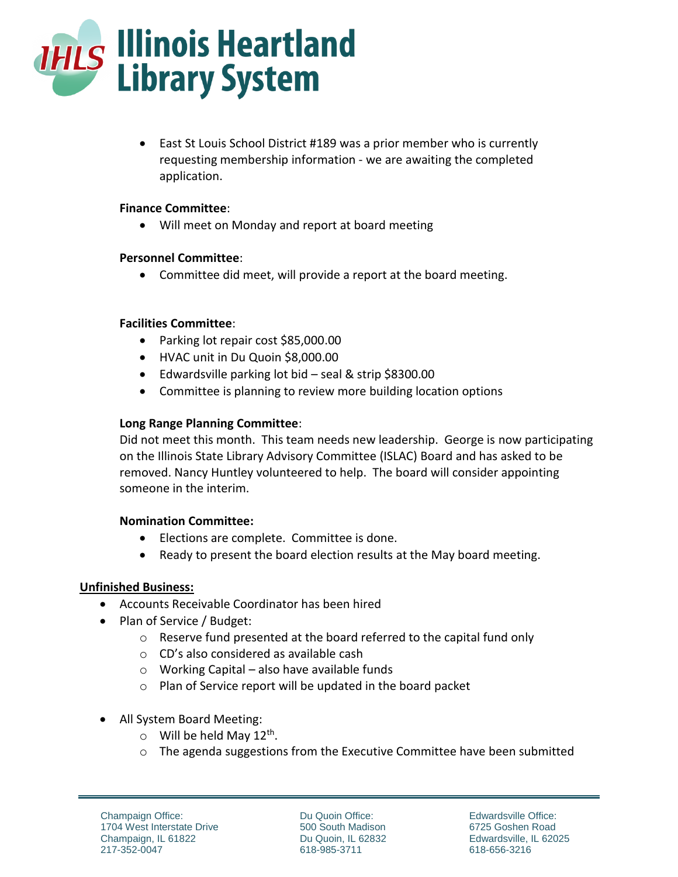

 East St Louis School District #189 was a prior member who is currently requesting membership information - we are awaiting the completed application.

#### **Finance Committee**:

Will meet on Monday and report at board meeting

### **Personnel Committee**:

Committee did meet, will provide a report at the board meeting.

### **Facilities Committee**:

- Parking lot repair cost \$85,000.00
- HVAC unit in Du Quoin \$8,000.00
- Edwardsville parking lot bid seal & strip \$8300.00
- Committee is planning to review more building location options

# **Long Range Planning Committee**:

Did not meet this month. This team needs new leadership. George is now participating on the Illinois State Library Advisory Committee (ISLAC) Board and has asked to be removed. Nancy Huntley volunteered to help. The board will consider appointing someone in the interim.

# **Nomination Committee:**

- Elections are complete. Committee is done.
- Ready to present the board election results at the May board meeting.

# **Unfinished Business:**

- Accounts Receivable Coordinator has been hired
- Plan of Service / Budget:
	- o Reserve fund presented at the board referred to the capital fund only
	- o CD's also considered as available cash
	- o Working Capital also have available funds
	- o Plan of Service report will be updated in the board packet
- All System Board Meeting:
	- $\circ$  Will be held May 12<sup>th</sup>.
	- $\circ$  The agenda suggestions from the Executive Committee have been submitted

Du Quoin Office: 500 South Madison Du Quoin, IL 62832 618-985-3711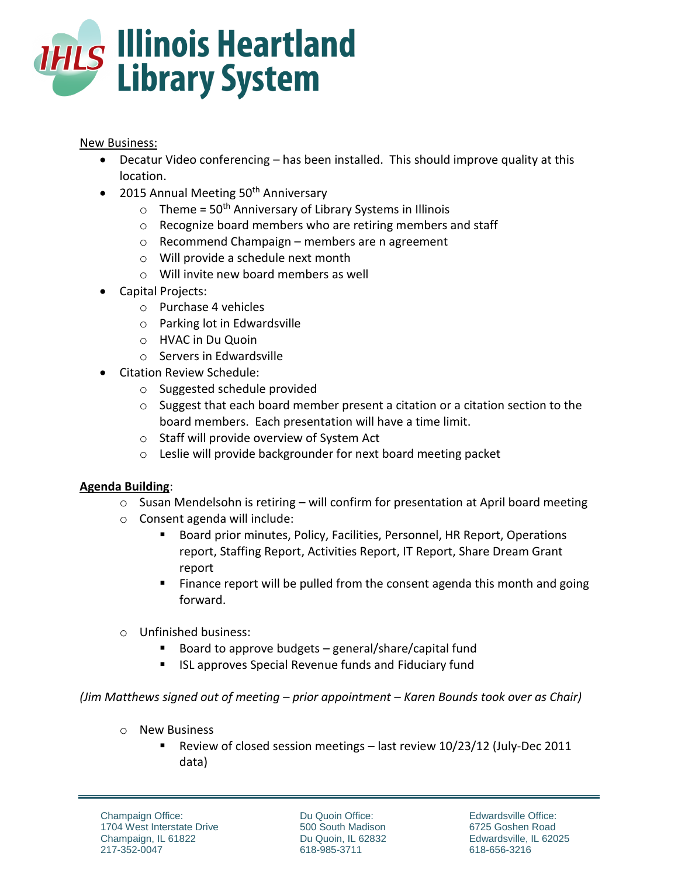

### New Business:

- Decatur Video conferencing has been installed. This should improve quality at this location.
- 2015 Annual Meeting  $50<sup>th</sup>$  Anniversary
	- $\circ$  Theme = 50<sup>th</sup> Anniversary of Library Systems in Illinois
	- o Recognize board members who are retiring members and staff
	- $\circ$  Recommend Champaign members are n agreement
	- o Will provide a schedule next month
	- o Will invite new board members as well
- Capital Projects:
	- o Purchase 4 vehicles
	- o Parking lot in Edwardsville
	- o HVAC in Du Quoin
	- o Servers in Edwardsville
- Citation Review Schedule:
	- o Suggested schedule provided
	- $\circ$  Suggest that each board member present a citation or a citation section to the board members. Each presentation will have a time limit.
	- o Staff will provide overview of System Act
	- o Leslie will provide backgrounder for next board meeting packet

# **Agenda Building**:

- $\circ$  Susan Mendelsohn is retiring will confirm for presentation at April board meeting
- o Consent agenda will include:
	- Board prior minutes, Policy, Facilities, Personnel, HR Report, Operations report, Staffing Report, Activities Report, IT Report, Share Dream Grant report
	- Finance report will be pulled from the consent agenda this month and going forward.
- o Unfinished business:
	- Board to approve budgets  $-$  general/share/capital fund
	- **IF ISL approves Special Revenue funds and Fiduciary fund**

*(Jim Matthews signed out of meeting – prior appointment – Karen Bounds took over as Chair)*

- o New Business
	- Review of closed session meetings last review 10/23/12 (July-Dec 2011 data)